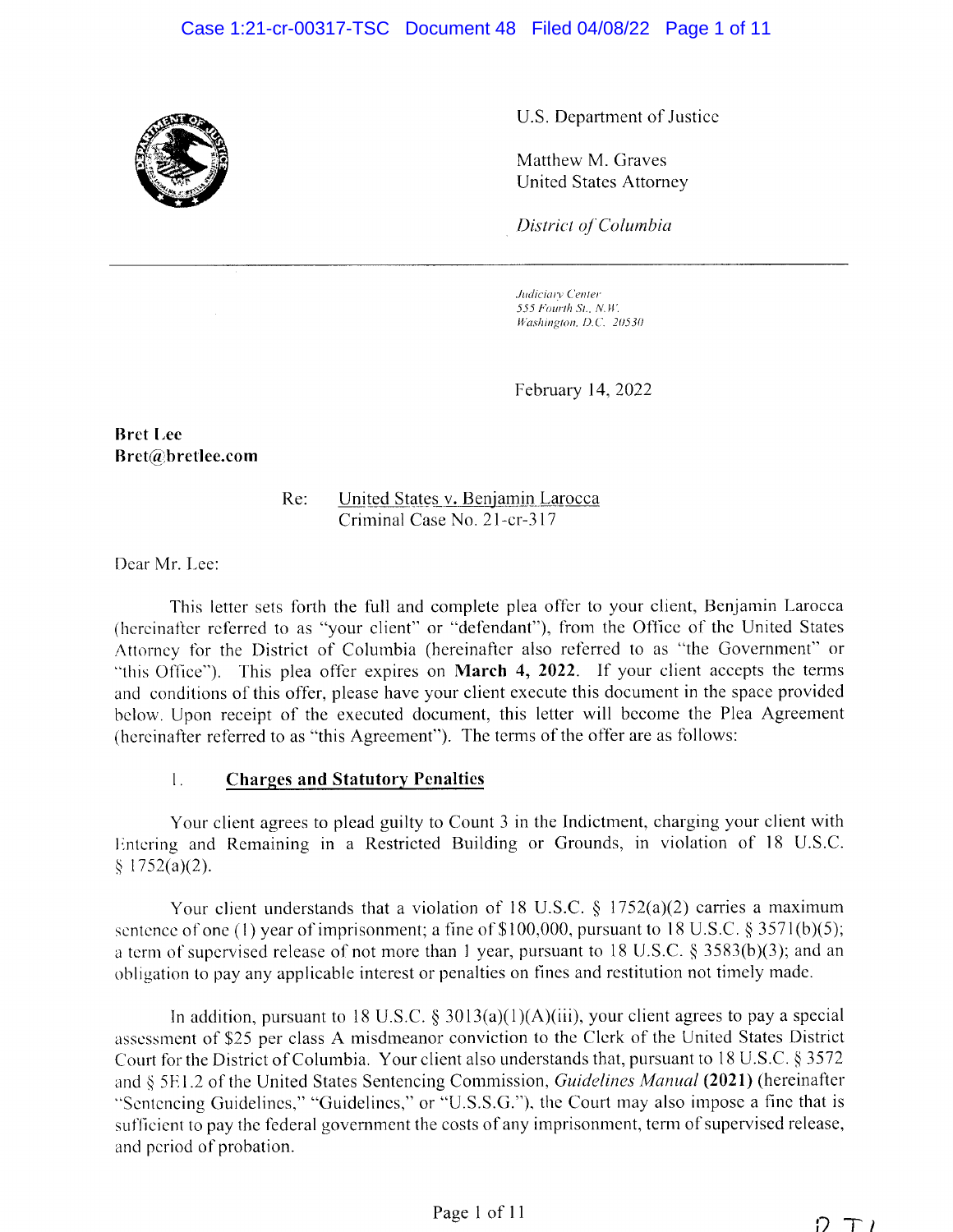#### Case 1:21-cr-00317-TSC Document 48 Filed 04/08/22 Page 1 of 11



U.S. Department of Justice

Matthew M. Graves **United States Attorney** 

District of Columbia

Judiciary Center 555 Fourth St., N.W. Washington, D.C. 20530

February 14, 2022

**Bret Lee** Bret@bretlee.com

> United States v. Benjamin Larocca Re: Criminal Case No. 21-cr-317

Dear Mr. Lee:

This letter sets forth the full and complete plea offer to your client, Benjamin Larocca (hereinafter referred to as "your client" or "defendant"), from the Office of the United States Attorney for the District of Columbia (hereinafter also referred to as "the Government" or "this Office"). This plea offer expires on March 4, 2022. If your client accepts the terms and conditions of this offer, please have your client execute this document in the space provided below. Upon receipt of the executed document, this letter will become the Plea Agreement (hereinafter referred to as "this Agreement"). The terms of the offer are as follows:

#### $1<sub>1</sub>$ **Charges and Statutory Penalties**

Your client agrees to plead guilty to Count 3 in the Indictment, charging your client with Entering and Remaining in a Restricted Building or Grounds, in violation of 18 U.S.C. § 1752(a)(2).

Your client understands that a violation of 18 U.S.C.  $\S$  1752(a)(2) carries a maximum sentence of one (1) year of imprisonment; a fine of \$100,000, pursuant to 18 U.S.C. § 3571(b)(5); a term of supervised release of not more than 1 year, pursuant to 18 U.S.C. § 3583(b)(3); and an obligation to pay any applicable interest or penalties on fines and restitution not timely made.

In addition, pursuant to 18 U.S.C. § 3013(a)(1)(A)(iii), your client agrees to pay a special assessment of \$25 per class A misdmeanor conviction to the Clerk of the United States District Court for the District of Columbia. Your client also understands that, pursuant to 18 U.S.C. § 3572 and § 5E1.2 of the United States Sentencing Commission, Guidelines Manual (2021) (hereinafter "Sentencing Guidelines," "Guidelines," or "U.S.S.G."), the Court may also impose a fine that is sufficient to pay the federal government the costs of any imprisonment, term of supervised release, and period of probation.

 $D$  T $\ell$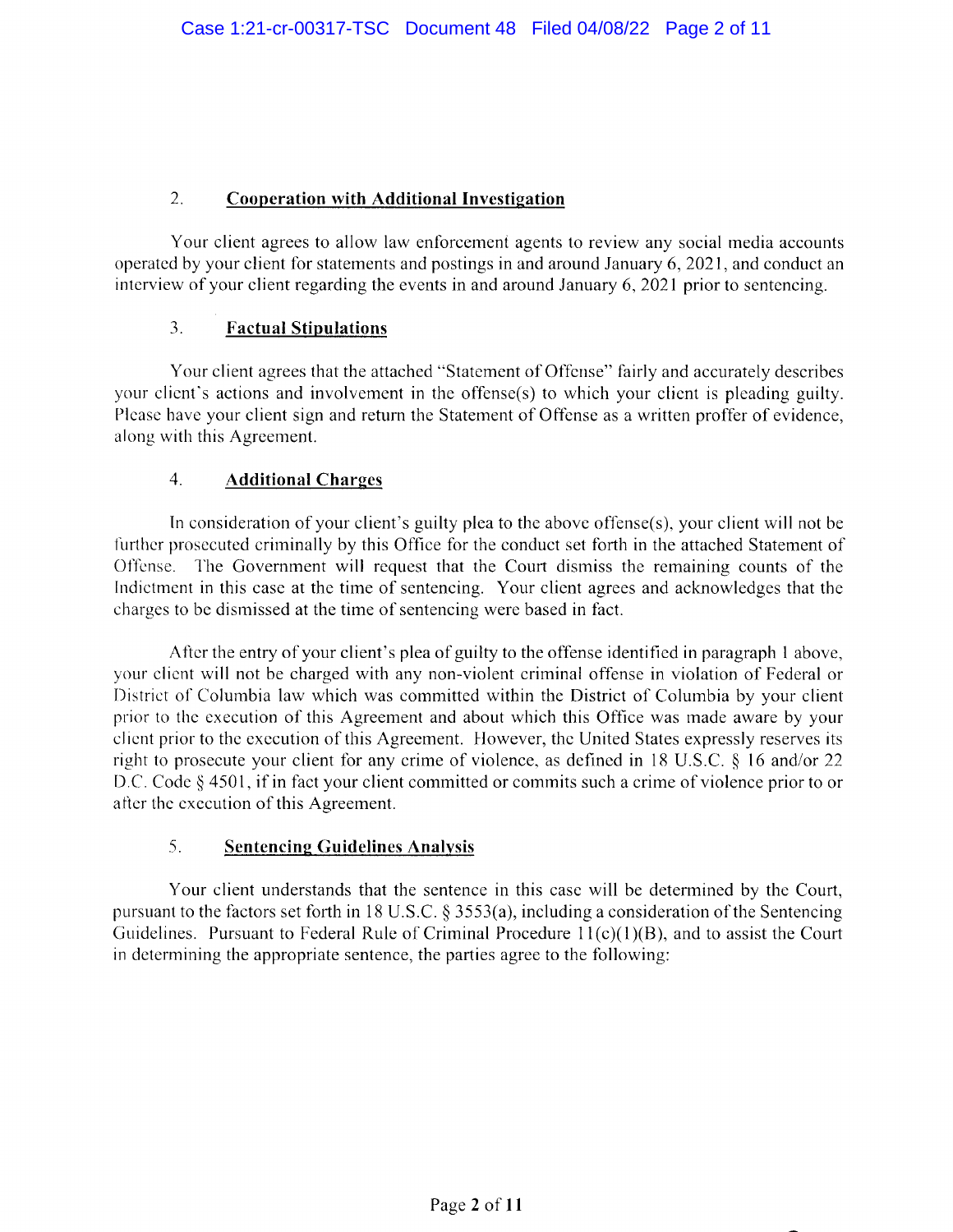### 2. Cooperation with Additional Investigation

Your client agrees to allow law enforcement agents to review any social media accounts operatcd by your client for statements and postings in and around January 6,2021, and conduct an interview of your client regarding the events in and around January  $6,2021$  prior to sentencing.

# 3. Factual Stipulations

Your client agrees that the attached "Statement of Offense" fairly and accurately describes your clicnt's actions and involvement in the offense(s) to which your clicnt is pleading guilty. Please have your client sign and return the Statement of Offense as a written proffer of evidence, along with this Agreement.

# 4. Additional Charges

In consideration of your client's guilty plea to the above offense $(s)$ , your client will not be further prosecuted criminally by this Office for the conduct set forth in the attached Statement of Offense. The Government will request that the Court dismiss the remaining counts of the Indictment in this case at the time of sentencing. Your clicnt agrees and acknowledges that the charges to bc dismissed at the time of sentencing were based in fact.

After the entry of your client's plea of guilty to the offense identified in paragraph 1 above, your client will not be charged with any non-violent criminal offense in violation of Federal or District of Columbia law which was committed within the District of Columbia by your client prior to the execution of this Agreement and about which this Office was made aware by your client prior to the execution of this Agreement. However, the United States expressly reserves its right to prosecute your client for any crime of violence, as defined in 18 U.S.C. § 16 and/or 22 D.C. Code \$ 4501, if in fact your client committed or commits such a crime of violence prior to or atier the cxccution of this Agreement.

# 5. Sentencing Guidelines Analysis

Your client understands that the sentence in this case will be determined by the Court, pursuant to the factors set forth in 18 U.S.C.  $\S$  3553(a), including a consideration of the Sentencing Guidelines. Pursuant to Federal Rule of Criminal Procedure  $11(c)(1)(B)$ , and to assist the Court in determining the appropriate sentence, the parties agree to the following: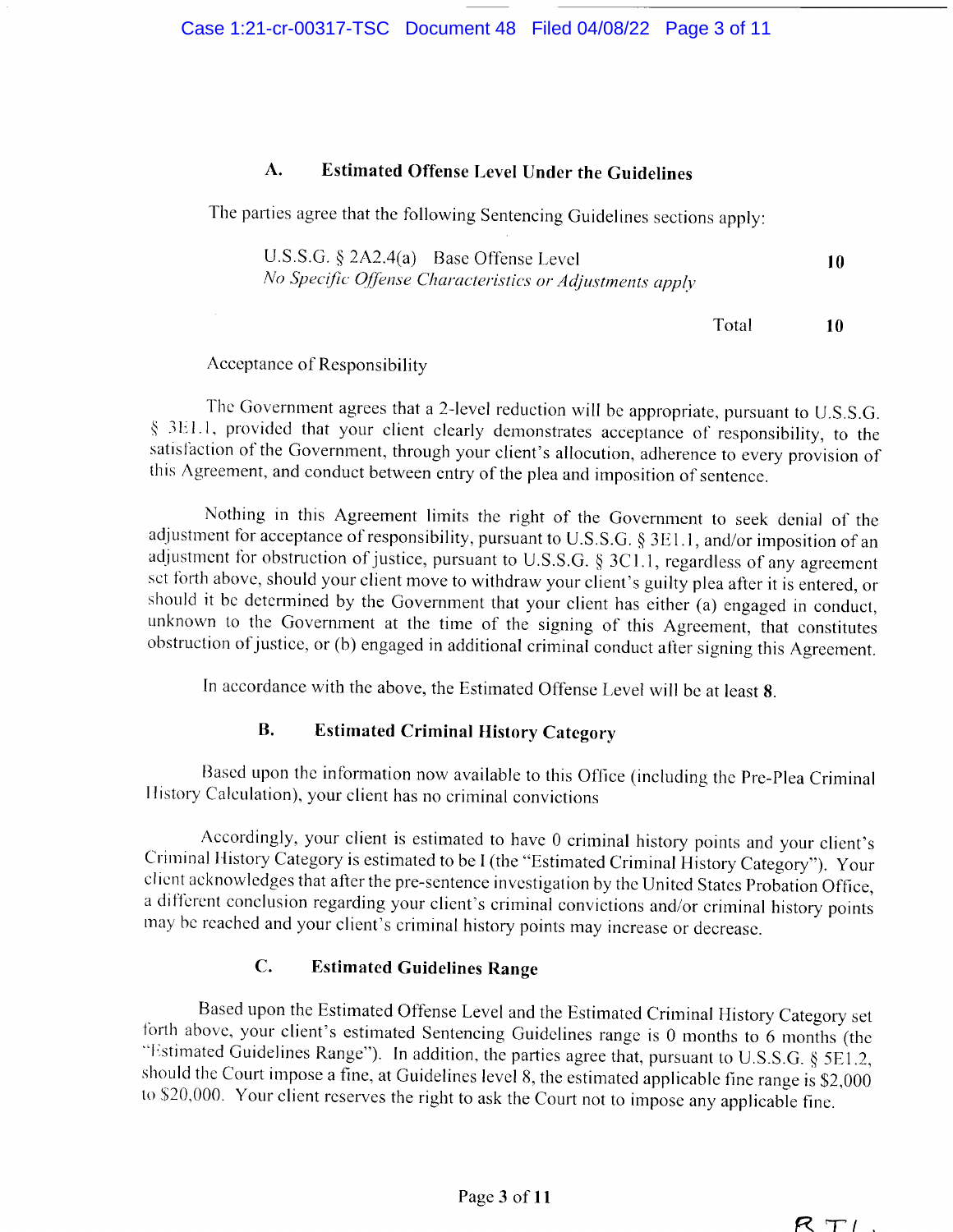#### A. **Estimated Offense Level Under the Guidelines**

The parties agree that the following Sentencing Guidelines sections apply:

U.S.S.G. § 2A2.4(a) Base Offense Level 10 No Specific Offense Characteristics or Adjustments apply

> Total 10

Acceptance of Responsibility

The Government agrees that a 2-level reduction will be appropriate, pursuant to U.S.S.G. § 3E1.1, provided that your client clearly demonstrates acceptance of responsibility, to the satisfaction of the Government, through your client's allocution, adherence to every provision of this Agreement, and conduct between entry of the plea and imposition of sentence.

Nothing in this Agreement limits the right of the Government to seek denial of the adjustment for acceptance of responsibility, pursuant to U.S.S.G. § 3E1.1, and/or imposition of an adjustment for obstruction of justice, pursuant to U.S.S.G. § 3C1.1, regardless of any agreement set forth above, should your client move to withdraw your client's guilty plea after it is entered, or should it be determined by the Government that your client has either (a) engaged in conduct, unknown to the Government at the time of the signing of this Agreement, that constitutes obstruction of justice, or (b) engaged in additional criminal conduct after signing this Agreement.

In accordance with the above, the Estimated Offense Level will be at least 8.

#### **B. Estimated Criminal History Category**

Based upon the information now available to this Office (including the Pre-Plea Criminal History Calculation), your client has no criminal convictions

Accordingly, your client is estimated to have 0 criminal history points and your client's Criminal History Category is estimated to be I (the "Estimated Criminal History Category"). Your client acknowledges that after the pre-sentence investigation by the United States Probation Office, a different conclusion regarding your client's criminal convictions and/or criminal history points may be reached and your client's criminal history points may increase or decrease.

#### $\mathbf{C}$ . **Estimated Guidelines Range**

Based upon the Estimated Offense Level and the Estimated Criminal History Category set forth above, your client's estimated Sentencing Guidelines range is 0 months to 6 months (the "Estimated Guidelines Range"). In addition, the parties agree that, pursuant to U.S.S.G. § 5E1.2, should the Court impose a fine, at Guidelines level 8, the estimated applicable fine range is \$2,000 to \$20,000. Your client reserves the right to ask the Court not to impose any applicable fine.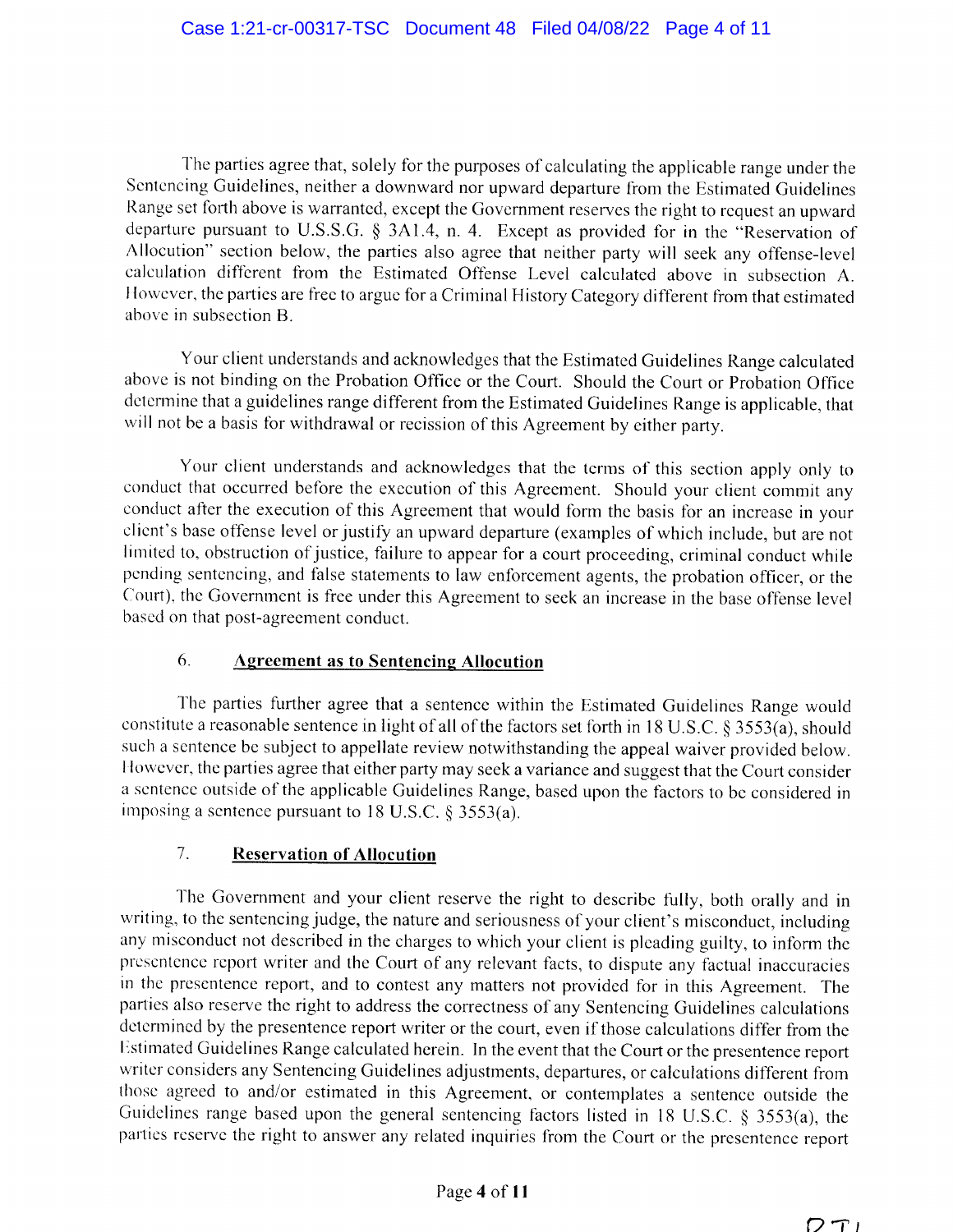The parties agree that, solely for the purposes of calculating the applicable range under the Scntencing Guidelines, neither a downward nor upward departure from the Estimated Guidelines Range set forth above is warranted, except the Government reserves the right to request an upward departure pursuant to U.S.S.G. § 3A1.4, n. 4. Except as provided for in the "Reservation of Allocution" section below, the parties also agree that neither party will seek any offense-level calculation different from the Estimated Offense Level calculated above in subsection A. However, the parties are free to argue for a Criminal History Category different from that estimated above in subsection B.

Your client understands and acknowledges that the Estimated Guidelines Range calculated abovc is not binding on the Probation Office or the Court. Should the Court or Probation Office dctermine that a guidelines range different from the Estimated Guidelines Range is applicable, that will not be a basis for withdrawal or recission of this Agreement by either party.

Your client understands and acknowledges that the terms of this section apply only to conduct that occurred before the execution of this Agreement. Should your client commit any conduct after the execution of this Agreement that would form the basis for an increase in your client's base offense level or justify an upward departure (examples of which include, but are not limited to, obstruction of justice, failure to appear for a court proceeding, criminal conduct while pending sentencing, and false statements to law enforcement agents, the probation officer, or the Court), the Government is free under this Agreement to seek an increase in the base offense level based on that post-agreement conduct.

# 6. Agreement as to Sentencing Allocution

The parties further agree that a sentence within the Estimated Guidelines Range would constitute a reasonable sentence in light of all of the factors set forth in l8 U.S.C. \$ 3553(a), should such a sentence be subject to appellate review notwithstanding the appeal waiver provided below. However, the parties agree that either party may seek a variance and suggest that the Court consider a sentence outside of the applicable Guidelines Range, based upon the factors to be considered in imposing a sentence pursuant to 18 U.S.C.  $\S$  3553(a).

# <sup>7</sup>. Reservation of Allocution

The Government and your client reserve the right to describe fully, both orally and in writing, to the sentencing judge, the nature and seriousness of your client's misconduct, including any misconduct not described in the charges to which your client is pleading guilty, to inform the presentence report writer and the Court of any relevant facts, to dispute any factual inaccuracies in the presentence report, and to contest any matters not provided for in this Agreement. The parlies also reserve the right to address the correctness of any Sentencing Guidelines calculations determined by the presentence report writer or the court, even if those calculations differ from the Estimated Guidelines Range calculated herein. In the event that the Court or the presentence report writer considers any Sentencing Guidelines adjustments, departures, or calculations different from thosc agreed to and/or estimated in this Agreement, or contemplates a sentencc outside the Guidelines range based upon the general sentencing factors listed in 18 U.S.C. § 3553(a), the parties rcscrvc the right to answer any related inquiries from the Court or the presentence report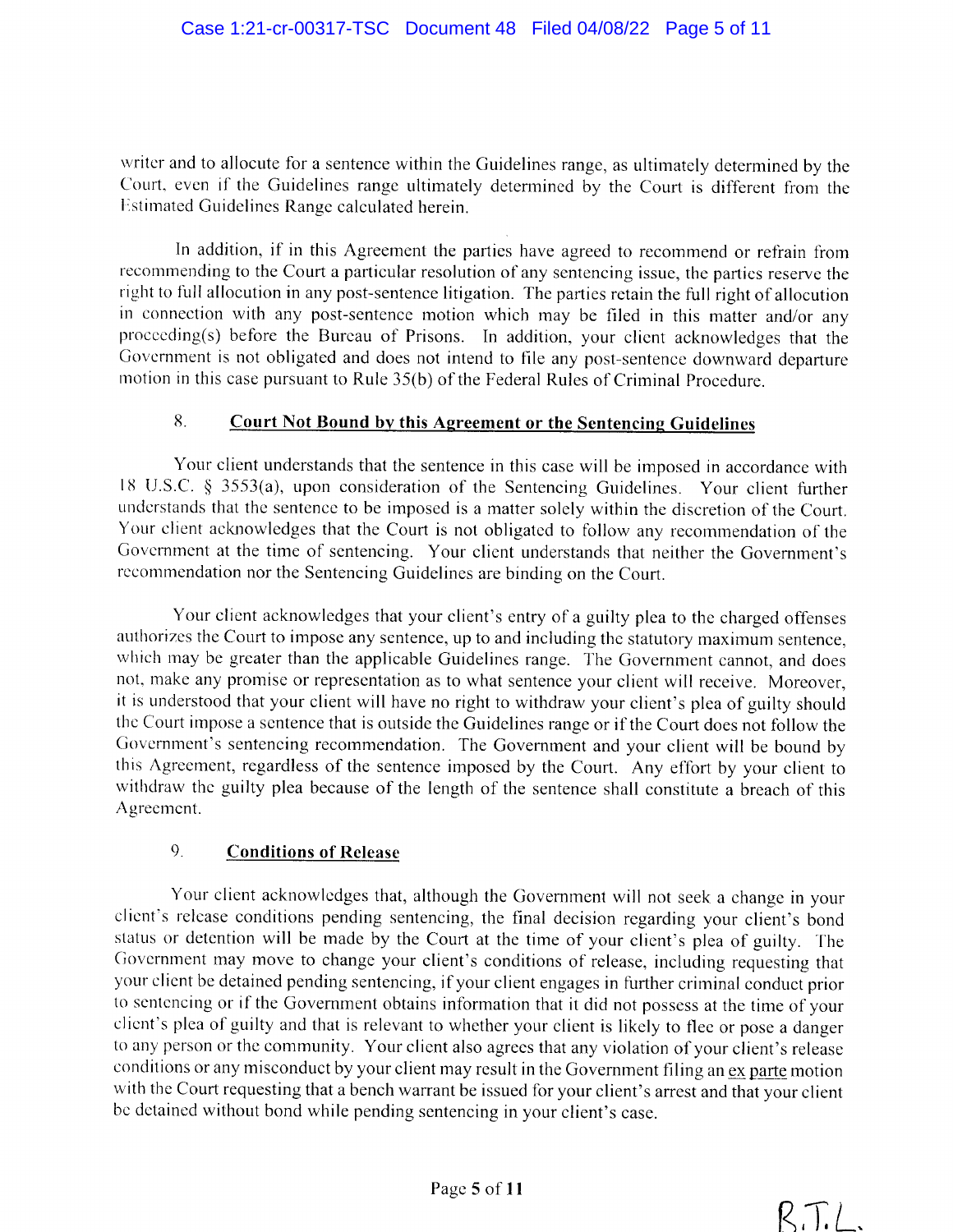writer and to allocute for a sentence within the Guidelines range, as ultimately determined by the Court, even if the Guidelines range ultimately determined by the Court is different from the Estimated Guidelines Range calculated herein.

In addition, if in this Agreement the parties have agreed to recommend or refrain from recommending to the Court a particular resolution of any sentencing issue, the parlies reserve the right to full allocution in any post-sentence litigation. The parties retain the full right of allocution in connection with any post-sentence motion which may be filed in this matter and/or any procccding(s) before the Burcau of Prisons. In addition, your clicnt acknowledges that the Government is not obligated and does not intend to file any post-sentence downward departure motion in this case pursuant to Rule  $35(b)$  of the Federal Rules of Criminal Procedure.

### 8. Court Not Bound by this Agreement or the Sentencing Guidelines

Your client understands that the sentence in this case will be imposed in accordance with 18 U.S.C. § 3553(a), upon consideration of the Sentencing Guidelines. Your client further understands that the sentence to be imposed is a matter solely within the discretion of the Court. Your client acknowledges that the Court is not obligated to follow any recommendation of the Government at the time of sentencing. Your client understands that neither the Government's recommendation nor the Sentencing Guidelines are binding on the Court.

Your client acknowledges that your client's entry of a guilty plea to the charged offenses authorizes the Court to impose any sentence, up to and including the statutory maximum sentence, which may be greater than the applicable Guidelines range. The Government cannot, and does not, make any promise or representation as to what sentence your client will receive. Moreover, it is understood that your client will have no right to withdraw your client's plea of guilty should thc Court impose a scntence that is outside the Guidelines range or if the Court does not follow the Government's sentencing recommendation. The Government and your client will be bound by this Agreement, regardless of the sentence imposed by the Court. Any effort by your client to withdraw the guilty plea because of the length of the sentence shall constitute a breach of this Agreement.

# 9. Conditions of Release

Your clicnt acknowlcdges that, although the Government will not seek a change in your clicnt's relcase conditions pending sentencing, the final decision regarding your client's bond status or detention will be made by the Court at the time of your client's plea of guilty. The Ciovcrnment may move to change your client's conditions of release, including requesting that your clicnt be detained pending sentencing, if your client engages in further criminal conduct prior to scntcncing or if the Government obtains information that it did not possess at the time of your client's plea of guilty and that is relevant to whether your client is likely to flee or pose a danger to any person or the community. Your client also agrees that any violation of your client's release conditions or any misconduct by your client may result in the Government filing an ex parte motion with the Court requesting that a bench warrant be issued for your client's arrest and that your client bc dctaincd without bond while pending sentencing in your client's case.

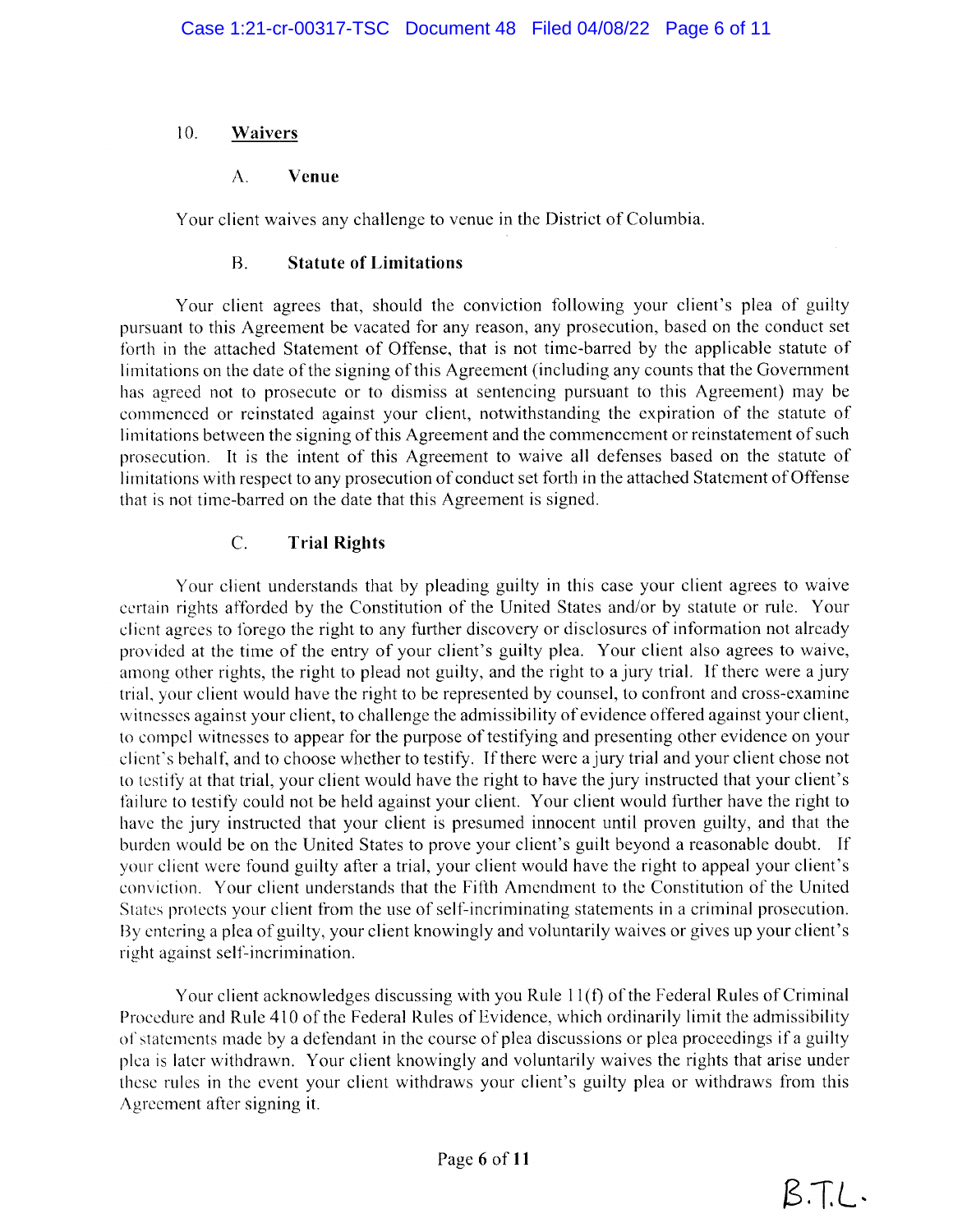#### Waivers  $10<sub>l</sub>$

### A. Venue

Your client waives any challenge to venue in the District of Columbia.

#### B. Statute of Limitations

Your client agrees that, should the conviction following your client's plea of guilty pursuant to this Agreement be vacated for any reason, any prosecution, based on the conduct set forth in the attached Statement of Offense, that is not time-barred by the applicable statute of limitations on the date of the signing of this Agreement (including any counts that the Government has agreed not to prosecute or to dismiss at sentencing pursuant to this Agreement) may be commcnccd or reinstated against your client, notwithstanding the expiration of the statute of limitations between the signing of this Agreement and the commencement or reinstatement of such prosecution. It is the intent of this Agreement to waive all defenses based on the statute of limitations with respect to any prosecution of conduct set forth in the attached Statement of Offense that is not time-barred on the date that this Agreement is signed.

# C. Trial Rights

Your client understands that by pleading guilty in this case your client agrees to waive certain rights afforded by the Constitution of the United States and/or by statute or rule. Your client agrees to forego the right to any further discovery or disclosures of information not already provided at the time of the entry of your client's guilty plea. Your client also agrees to waivc, among other rights, the right to plead not guilty, and the right to a jury trial. If there were a jury trial, your client would have the right to be represented by counsel, to confront and cross-examine witnesses against your client, to challenge the admissibility of evidence offered against your client, to compel witnesses to appear for the purpose of testifying and presenting other evidence on your client's behalf, and to choose whether to testify. If there were a jury trial and your client chose not to testify at that trial, your client would have the right to have the jury instructed that your client's failure to testify could not be held against your client. Your client would further have the right to havc the jury instructed that your client is presumed innocent until proven guilty, and that the burden would be on thc United States to prove your client's guilt beyond a reasonable doubt. If your client were found guilty after a trial, your client would have the right to appeal your client's conviction. Your client understands that the Fifth Amendment to the Constitution of the United States protects your client from the use of self-incriminating statements in a criminal prosecution. By entering a plea of guilty, your client knowingly and voluntarily waives or gives up your client's right against self-incrimination.

Your client acknowledges discussing with you Rule 11(f) of the Federal Rules of Criminal Procedure and Rule 410 of the Federal Rules of Evidence, which ordinarily limit the admissibility of statements made by a defendant in the course of plea discussions or plea proceedings if a guilty plea is later withdrawn. Your client knowingly and voluntarily waives the rights that arise under thcsc rules in thc event your client withdraws your client's guilty plea or withdraws from this Agreement after signing it.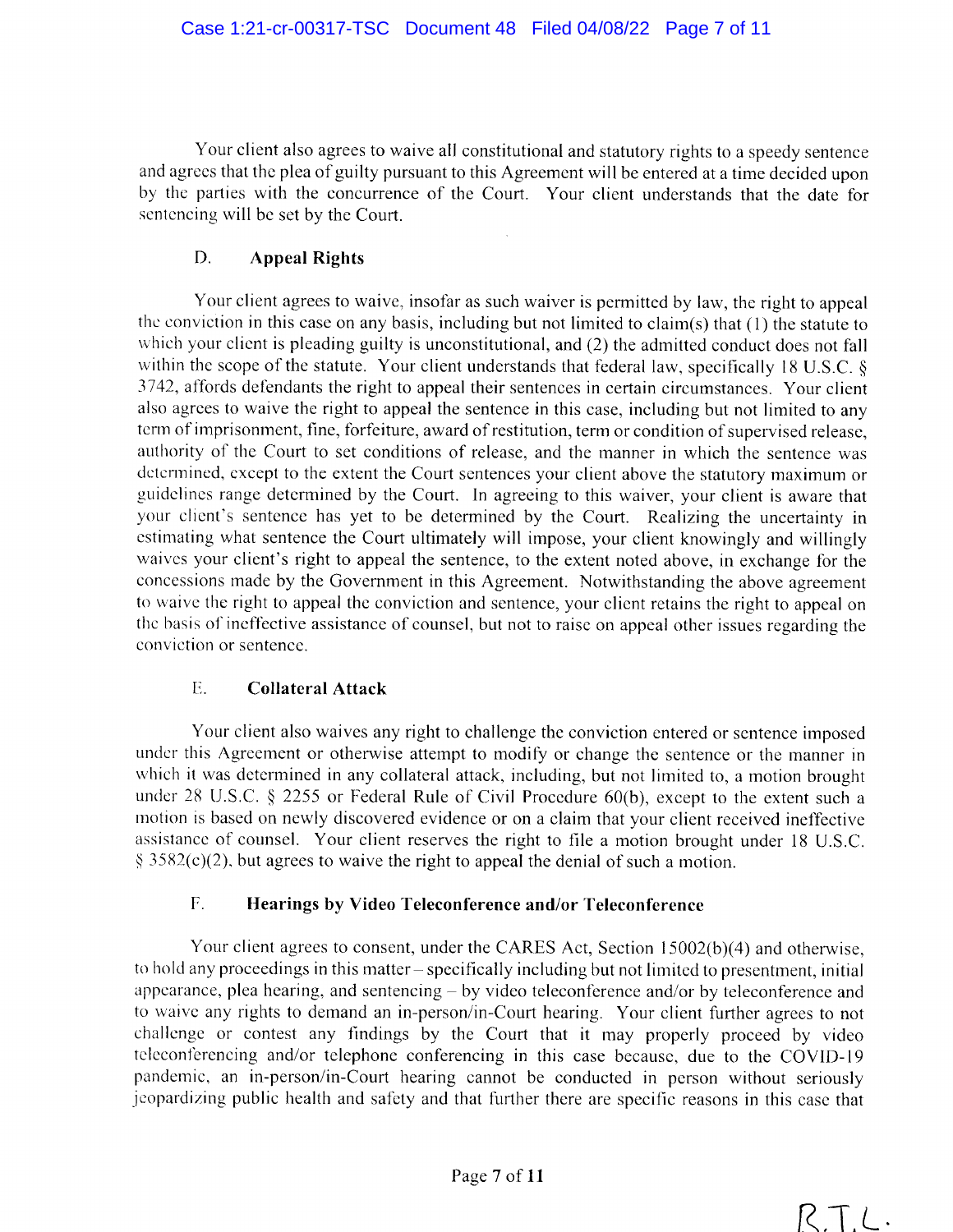Your client also agrees to waive all constitutional and statutory rights to a speedy sentence and agrees that the plea of guilty pursuant to this Agreement will be entered at a time decided upon by the parties with the concurrence of the Court. Your client understands that the date for sentencing will be set by the Court.

# D. Appeal Rights

Your client agrees to waive, insofar as such waiver is permitted by law, the right to appeal the conviction in this case on any basis, including but not limited to claim(s) that  $(1)$  the statute to which your client is pleading guilty is unconstitutional, and (2) the admitted conduct does not fall within the scope of the statute. Your client understands that federal law, specifically 18 U.S.C.  $\delta$ 3742, affords defendants the right to appeal their sentences in certain circumstances. Your client also agrees to waive the right to appeal the sentence in this case, including but not limited to any term of imprisonment, fine, forfeiture, award of restitution, term or condition of supervised release, authority of the Court to set conditions of release, and the manner in which the sentence was determined, except to the extent the Court sentences your client above the statutory maximum or guidelines range determined by the Court. In agreeing to this waiver, your client is aware that your clicnt's sentence has yet to be determined by the Court. Realizing the uncertainty in cstimating what sentence the Court ultimately will impose, your client knowingly and willingly waives your client's right to appeal the sentence, to the extent noted above, in exchange for the concessions made by the Government in this Agreemcnt. Notwithstanding the above agreement to waive the right to appeal the conviction and sentence, your client retains the right to appeal on the basis of ineffective assistance of counsel, but not to raise on appeal other issues regarding the conviction or sentence.

#### $E_{\cdot}$ Collateral Attack

Your client also waives any right to challenge the conviction entered or sentence imposed under this Agreement or otherwise attempt to modify or change the sentence or the manner in which it was determined in any collateral attack, including, but not limited to, a motion brought under 28 U.S.C. § 2255 or Federal Rule of Civil Procedure 60(b), except to the extent such a motion is based on newly discovered evidence or on a claim that your client received ineffective assistance of counsel. Your client reserves the right to file a motion brought under 18 U.S.C.  $\S$  3582(c)(2), but agrees to waive the right to appeal the denial of such a motion.

# F. Hearings by Video Teleconference and/or Teleconference

Your client agrees to consent, under the CARES Act, Section 15002(b)(4) and otherwise, to hold any proceedings in this matter-specifically including but not limited to presentment, initial appearance, plea hearing, and sentencing  $-$  by video teleconference and/or by teleconference and to waive any rights to demand an in-person/in-Court hearing. Your client further agrees to not challcngc or contest any findings by the Court that it may properly proceed by video teleconferencing and/or telephone conferencing in this case because, due to the COVID-19 pandemic, an in-person/in-Court hearing cannot be conducted in person without seriously jeopardizing public health and safety and that further there are specific reasons in this case that

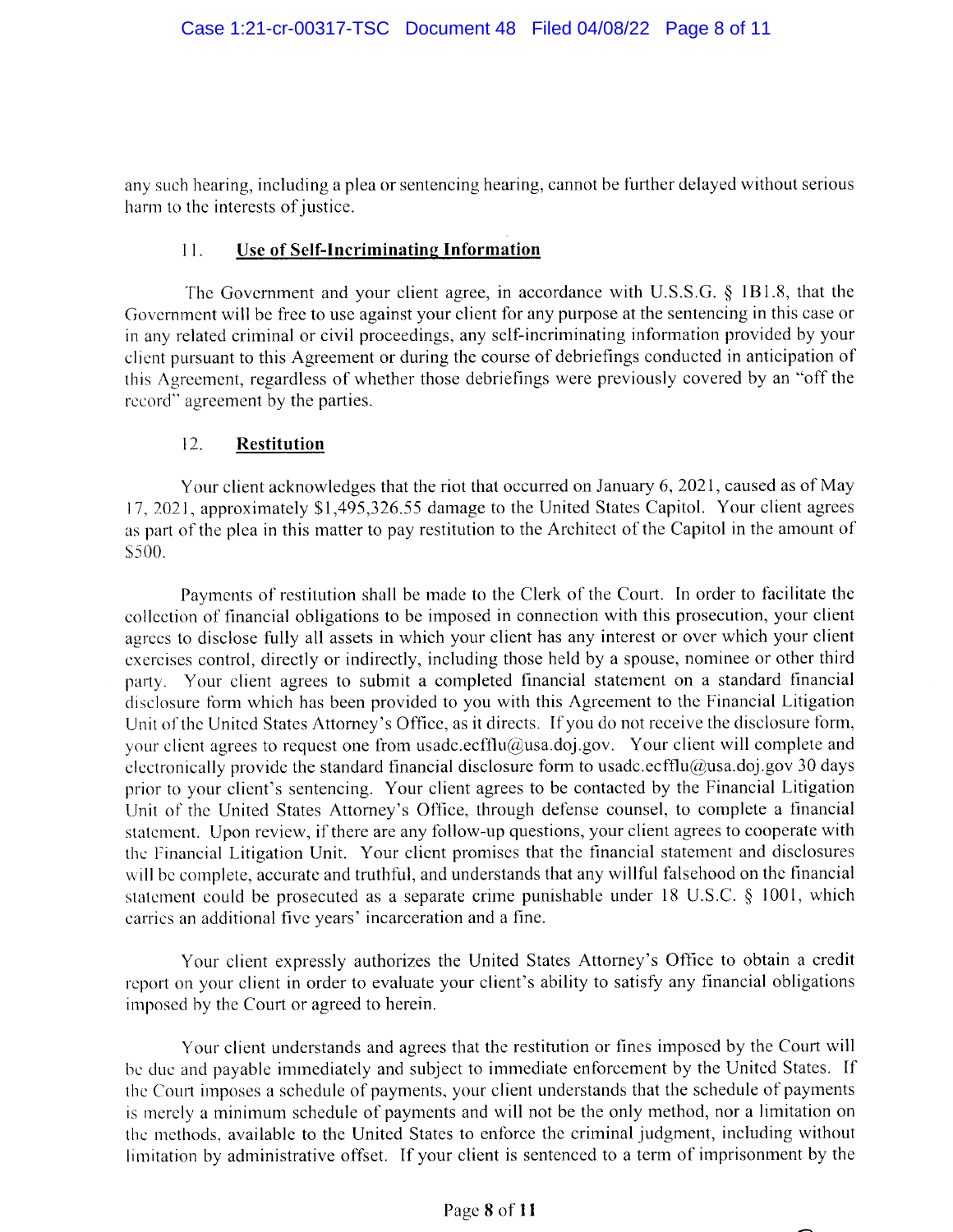any such hearing, including a plea or sentencing hearing, cannot be further delayed without serious harm to the interests of justice.

#### ll. Use of Self-Incriminating Information

The Government and your client agree, in accordance with U.S.S.G.  $\S$  1B1.8, that the Govcnrmcnt will be fiee to use against your client for any purpose at the sentencing in this case or in any related criminal or civil proceedings, any self-incriminating infbrmation provided by your client pursuant to this Agreement or during the course of debriefings conducted in anticipation of this Agreement, regardless of whether those debriefings were previously covered by an "off the record" agreement by the parties.

#### 12. Restitution

Your client acknowledges that the riot that occurred on January 6,2021, caused as of May 17.2021, approximately \$1,495,326.55 damage to the United States Capitol. Your client agrees as part of the plea in this matter to pay restitution to the Architect of the Capitol in the amount of ss00.

Payments of restitution shall be made to the Clerk of the Court. In order to facilitate the collcction of flnancial obligations to be imposed in connection with this prosecution, your client agrecs to disclose fully all assets in which your client has any interest or over which your client cxercises control, directly or indirectly, including those held by a spouse, nominee or other third party. Your client agrees to submit a completed financial statement on a standard financial disclosure form which has been provided to you with this Agreement to the Financial Litigation Unit of the United States Attorney's Office, as it directs. If you do not receive the disclosure form, your client agrees to request one from usadc.ecfflu@usa.doj.gov. Your client will complete and electronically provide the standard financial disclosure form to usadc.ecfflu@usa.doj.gov 30 days prior to your client's sentencing. Your client agrees to be contacted by the Frinancial Litigation Unit of the United States Attorney's Office, through defense counsel, to complete a financial statement. Upon review, if there are any follow-up questions, your client agrees to cooperate with thc Financial Litigation Unit. Your clicnt promises that the flnancial statement and disclosures will be complete, accurate and truthful, and understands that any willful falsehood on the financial statement could be prosecuted as a separate crime punishable under  $18$  U.S.C.  $\S$  1001, which carrics an additional five years' incarceration and a fine.

Your client expressly authorizes the United States Attorney's Office to obtain a credit report on your client in order to evaluate your client's ability to satisfy any financial obligations imposed by the Court or agreed to herein.

Your client understands and agrees that the restitution or fines imposed by the Court will be due and payable immediately and subject to immediate enforcement by the United States. If the Court imposes a schedule of payments, your client understands that the schedule of payments is rnerely a minimum schedule of payments and will not be the only method, nor a limitation on thc rncthods, available to the United States to enfbrce the criminal judgment, including without limitation by administrative offset. If your client is sentenced to a term of imprisonment by the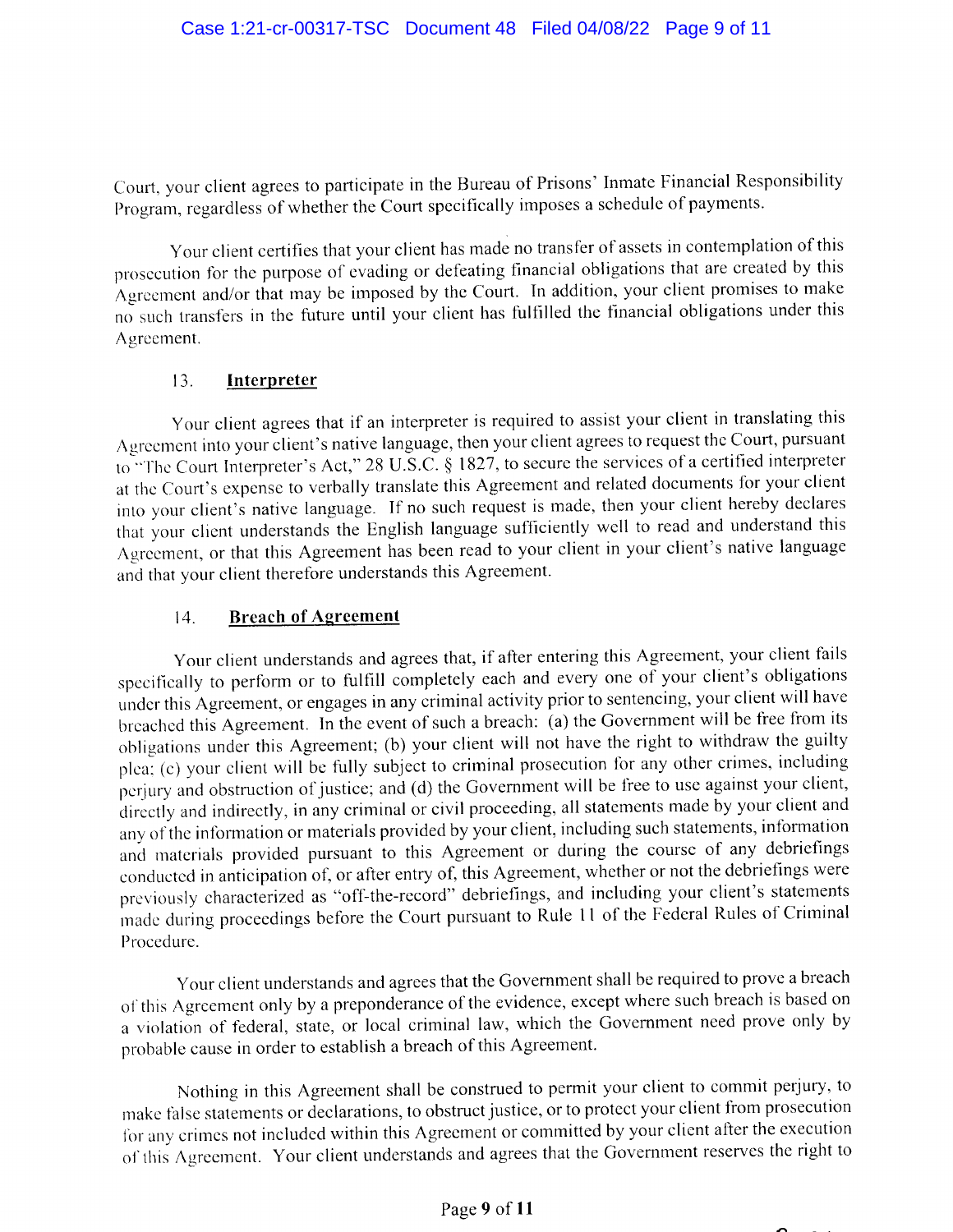Court, your client agrees to participate in the Bureau of Prisons' Inmate Financial Responsibility Program, regardless of whether the Court specifically imposes a schedule of payments.

Your client certifies that your client has made no transfer of assets in contemplation of this prosecution for the purpose of evading or defeating financial obligations that are created by this Agreement and/or that may be imposed by the Court. In addition, your client promises to make no such transfers in the future until your client has fulfilled the financial obligations under this Agrccment.

#### 13. Interpreter

your client agrees that if an interpreter is required to assist your client in translating this Agreement into your client's native language, then your client agrees to request the Court, pursuant to.<sup>1</sup>The Court Interpreter's Act," 28 U.S.C. § 1827, to secure the services of a certified interpreter at thc Court's expense to verbally translate this Agreement and related documents for your client into your client's native language. If no such request is made, then your client hereby declares that your clicnt understands the English language sufficiently well to read and understand this Agreement, or that this Agreement has been read to your client in your client's native language and that your client therefore understands this Agreement.

# 14. Breach of Agreement

your client understands and agrees that, if after entering this Agreement, your client fails specifically to perform or to fulfill completely each and every one of your client's obligations under this Agreement, or engages in any criminal activity prior to sentencing, your client will have breached this Agreement. In the event of such a breach: (a) the Government will be free from its obligations under this Agreement; (b) your client will not have the right to withdraw the guilty plea: (c) your client will be fully subject to criminal prosecution for any other crimes, including perjury and obstruction of justice; and (d) the Government will be free to use against your client, directly and indirectly, in any criminal or civil proceeding, all statements made by your client and any of the information or materials provided by your client, including such statements, information and materials provided pursuant to this Agreement or during the course of any debriefings conductcd in anticipation of, or after entry of, this Agreement, whether or not the debriefings were previously characterized as "off-the-record" debrielings, and including your client's statements inade during proceedings before the Court pursuant to Rule 11 of the Federal Rules of Criminal Procedure.

your client understands and agrees that the Government shall be required to prove a breach of this Agreement only by a preponderance of the evidence, except where such breach is based on a violation of federal, state, or local criminal law, which the Government need prove only by probable cause in order to establish a breach of this Agreement.

Nothing in this Agreement shall be construed to permit your client to commit perjury, to makc talse statements or declarations, to obstruct justice, or to protect your client fiom prosecution for any crimes not included within this Agreement or committed by your client after the execution of this Agreement. Your client understands and agrees that the Government reserves the right to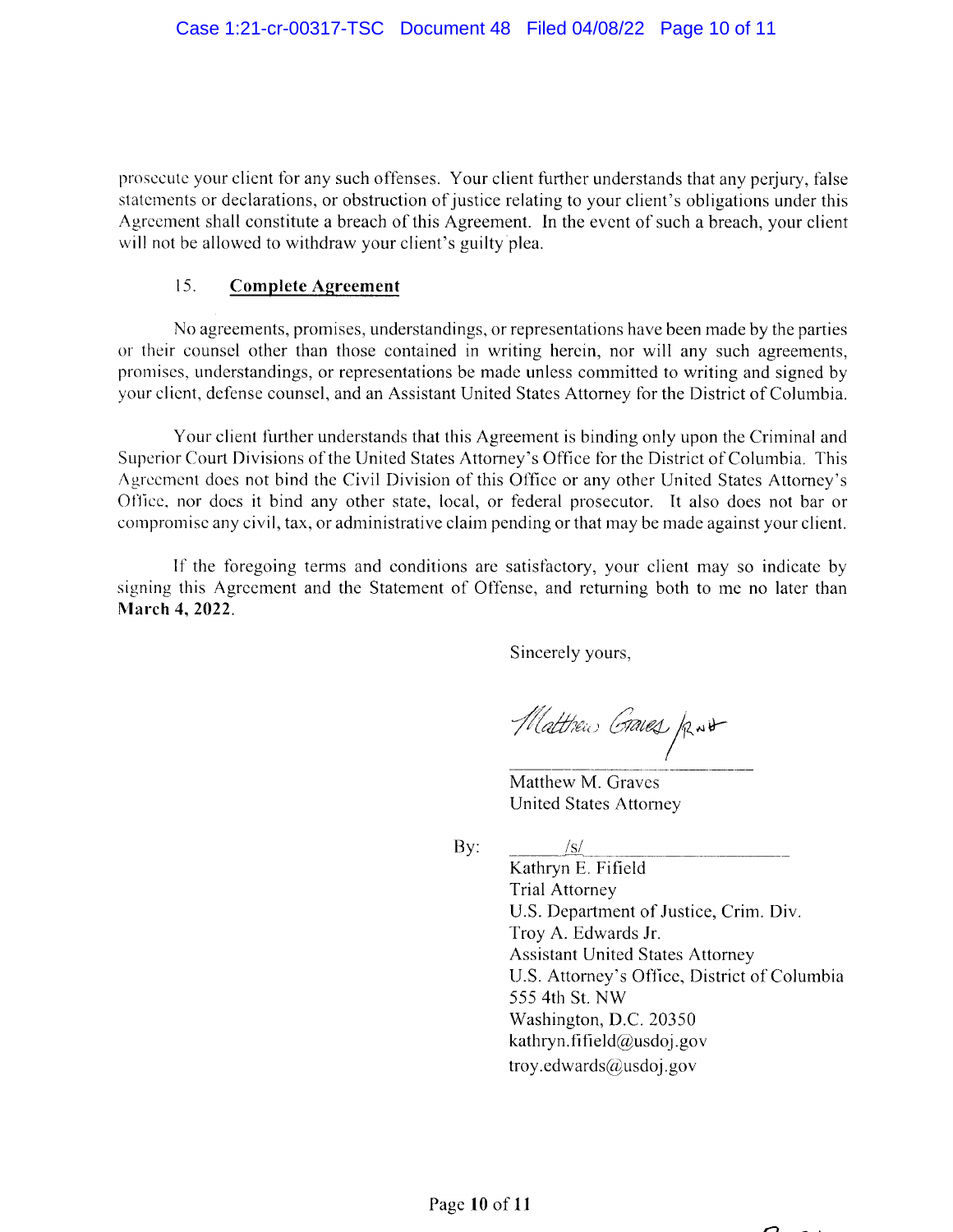prosecute your client for any such offenses. Your client further understands that any perjury, false statements or declarations, or obstruction of justice relating to your client's obligations under this Agrccment shall constitute a breach of this Agreement. In the event of such a breach, your client will not be allowed to withdraw your client's guilty plea.

#### 15. Complete Agreement

No agreements, promises, understandings, or representations have been made by the parties or their counsel other than those contained in writing hercin, nor will any such agreements, pronrises. understandings, or representations be made unless committed to writing and signed by your client, defense counsel, and an Assistant United States Attorney for the District of Columbia.

Your client further understands that this Agreement is binding only upon the Criminal and Superior Court Divisions of the United States Attorney's Office for the District of Columbia. This Agreement does not bind the Civil Division of this Office or any other United States Attorney's Office, nor does it bind any other state, local, or federal prosecutor. It also does not bar or compromisc any civil, tax, or administrative claim pending or that may be made against your client.

If the foregoing terms and conditions are satisfactory, your client may so indicate by signing this Agreement and the Statement of Offense, and returning both to me no later than March 4, 2022.

Sincerely yours,

Mattrew Graves fant

Matthew M. Graves United States Attornev

By:  $/s/$ Kathryn E. Fifield Trial Attorney U.S. Department of Justice, Crim. Div. Troy A. Edwards Jr. Assistant United States Attorney U.S. Attorney's Office, District of Columbia 555 4th St. NW Washington, D.C. 20350 kathryn.fifield@usdoj.gov  $troy.eduards@usdoj.gov$